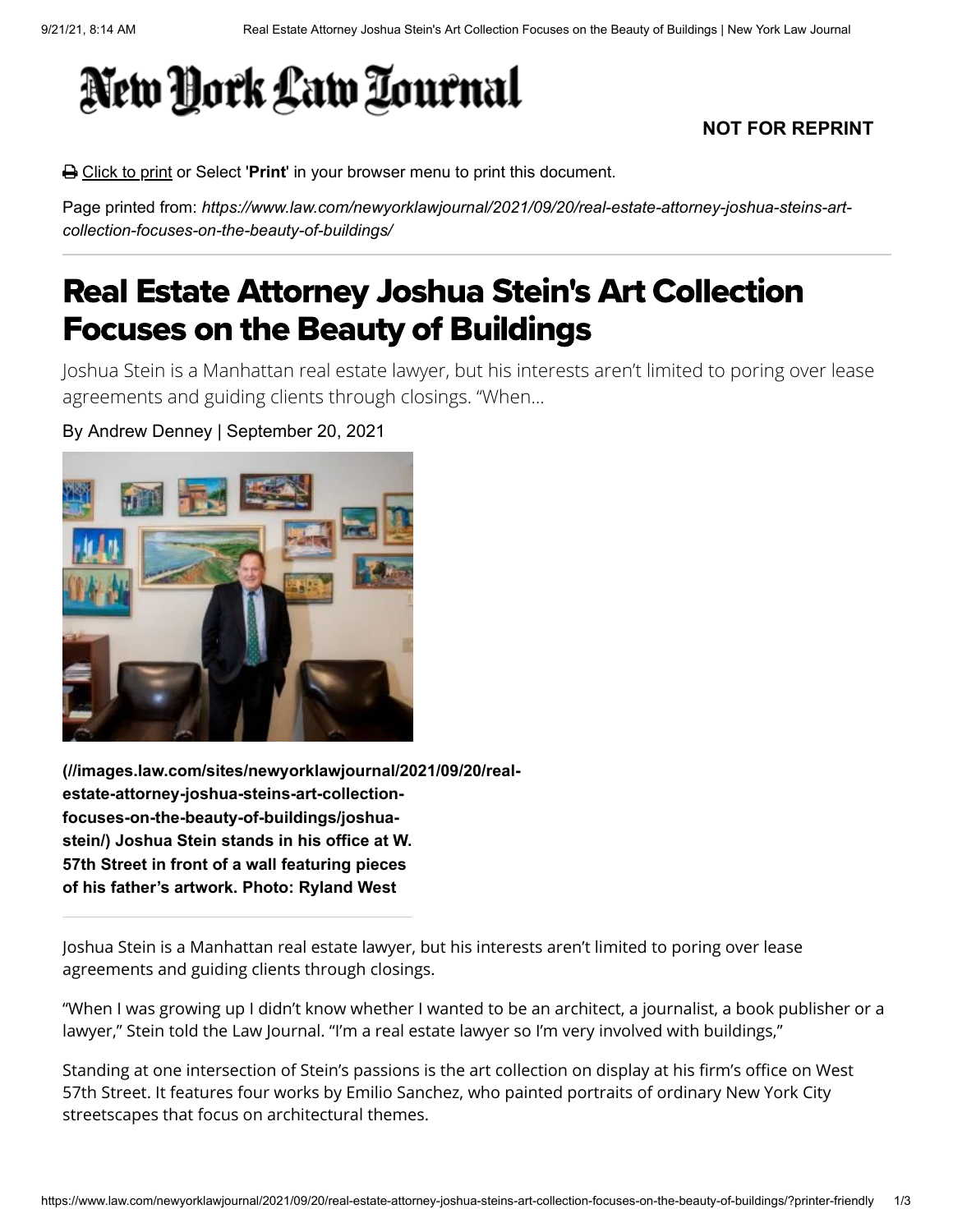## New York Law Tournal

## **NOT FOR REPRINT**

Click to print or Select '**Print**' in your browser menu to print this document.

Page printed from: *https://www.law.com/newyorklawjournal/2021/09/20/real-estate-attorney-joshua-steins-artcollection-focuses-on-the-beauty-of-buildings/*

## Real Estate Attorney Joshua Stein's Art Collection Focuses on the Beauty of Buildings

Joshua Stein is a Manhattan real estate lawyer, but his interests aren't limited to poring over lease agreements and guiding clients through closings. "When…

By Andrew Denney | September 20, 2021



**[\(//images.law.com/sites/newyorklawjournal/2021/09/20/real](https://images.law.com/sites/newyorklawjournal/2021/09/20/real-estate-attorney-joshua-steins-art-collection-focuses-on-the-beauty-of-buildings/joshua-stein/)estate-attorney-joshua-steins-art-collectionfocuses-on-the-beauty-of-buildings/joshuastein/) Joshua Stein stands in his office at W. 57th Street in front of a wall featuring pieces of his father's artwork. Photo: Ryland West**

Joshua Stein is a Manhattan real estate lawyer, but his interests aren't limited to poring over lease agreements and guiding clients through closings.

"When I was growing up I didn't know whether I wanted to be an architect, a journalist, a book publisher or a lawyer," Stein told the Law Journal. "I'm a real estate lawyer so I'm very involved with buildings,"

Standing at one intersection of Stein's passions is the art collection on display at his firm's office on West 57th Street. It features four works by Emilio Sanchez, who painted portraits of ordinary New York City streetscapes that focus on architectural themes.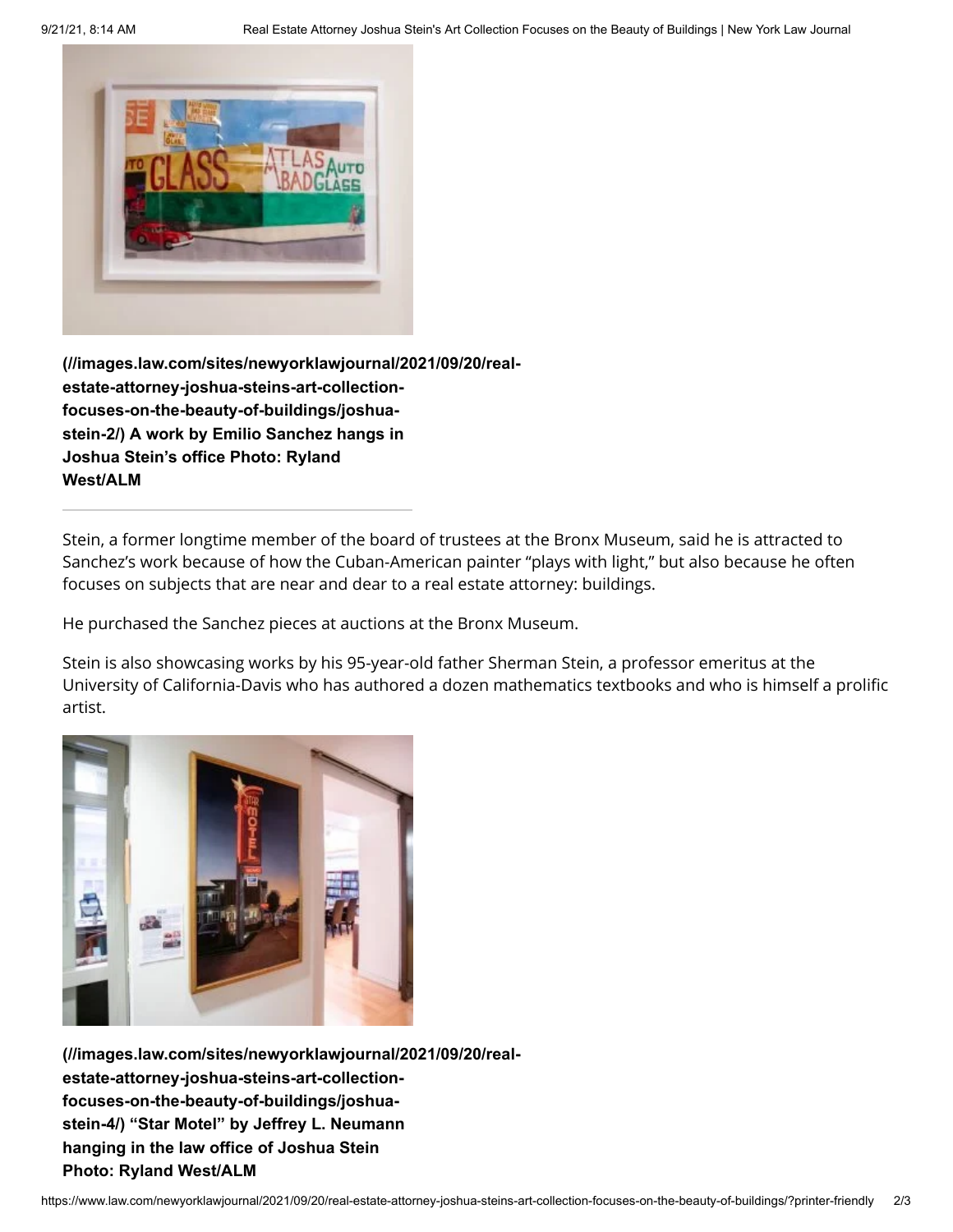

**[\(//images.law.com/sites/newyorklawjournal/2021/09/20/real](https://images.law.com/sites/newyorklawjournal/2021/09/20/real-estate-attorney-joshua-steins-art-collection-focuses-on-the-beauty-of-buildings/joshua-stein-2/)estate-attorney-joshua-steins-art-collectionfocuses-on-the-beauty-of-buildings/joshuastein-2/) A work by Emilio Sanchez hangs in Joshua Stein's office Photo: Ryland West/ALM**

Stein, a former longtime member of the board of trustees at the Bronx Museum, said he is attracted to Sanchez's work because of how the Cuban-American painter "plays with light," but also because he often focuses on subjects that are near and dear to a real estate attorney: buildings.

He purchased the Sanchez pieces at auctions at the Bronx Museum.

Stein is also showcasing works by his 95-year-old father Sherman Stein, a professor emeritus at the University of California-Davis who has authored a dozen mathematics textbooks and who is himself a prolific artist.



**[\(//images.law.com/sites/newyorklawjournal/2021/09/20/real](https://images.law.com/sites/newyorklawjournal/2021/09/20/real-estate-attorney-joshua-steins-art-collection-focuses-on-the-beauty-of-buildings/joshua-stein-4/)estate-attorney-joshua-steins-art-collectionfocuses-on-the-beauty-of-buildings/joshuastein-4/) "Star Motel" by Jeffrey L. Neumann hanging in the law office of Joshua Stein Photo: Ryland West/ALM**